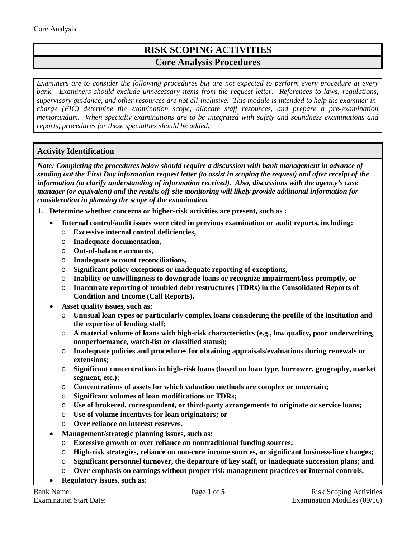## **RISK SCOPING ACTIVITIES Core Analysis Procedures**

*Examiners are to consider the following procedures but are not expected to perform every procedure at every bank. Examiners should exclude unnecessary items from the request letter. References to laws, regulations, supervisory guidance, and other resources are not all-inclusive. This module is intended to help the examiner-incharge (EIC) determine the examination scope, allocate staff resources, and prepare a pre-examination memorandum. When specialty examinations are to be integrated with safety and soundness examinations and reports, procedures for these specialties should be added.*

## **Activity Identification**

*Note: Completing the procedures below should require a discussion with bank management in advance of sending out the First Day information request letter (to assist in scoping the request) and after receipt of the information (to clarify understanding of information received). Also, discussions with the agency's case manager (or equivalent) and the results off-site monitoring will likely provide additional information for consideration in planning the scope of the examination.*

- **1. Determine whether concerns or higher-risk activities are present, such as :** 
	- **Internal control/audit issues were cited in previous examination or audit reports, including:**
		- o **Excessive internal control deficiencies,**
		- o **Inadequate documentation,**
		- o **Out-of-balance accounts,**
		- o **Inadequate account reconciliations,**
		- o **Significant policy exceptions or inadequate reporting of exceptions,**
		- o **Inability or unwillingness to downgrade loans or recognize impairment/loss promptly, or**
		- o **Inaccurate reporting of troubled debt restructures (TDRs) in the Consolidated Reports of Condition and Income (Call Reports).**
	- **Asset quality issues, such as:**
		- o **Unusual loan types or particularly complex loans considering the profile of the institution and the expertise of lending staff;**
		- o **A material volume of loans with high-risk characteristics (e.g., low quality, poor underwriting, nonperformance, watch-list or classified status);**
		- o **Inadequate policies and procedures for obtaining appraisals/evaluations during renewals or extensions;**
		- o **Significant concentrations in high-risk loans (based on loan type, borrower, geography, market segment, etc.);**
		- o **Concentrations of assets for which valuation methods are complex or uncertain;**
		- o **Significant volumes of loan modifications or TDRs;**
		- o **Use of brokered, correspondent, or third-party arrangements to originate or service loans;**
		- o **Use of volume incentives for loan originators; or**
		- o **Over reliance on interest reserves.**
		- **Management/strategic planning issues, such as:**
			- o **Excessive growth or over reliance on nontraditional funding sources;**
			- o **High-risk strategies, reliance on non-core income sources, or significant business-line changes;**
			- o **Significant personnel turnover, the departure of key staff, or inadequate succession plans; and**
			- o **Over emphasis on earnings without proper risk management practices or internal controls.**
	- **Regulatory issues, such as:**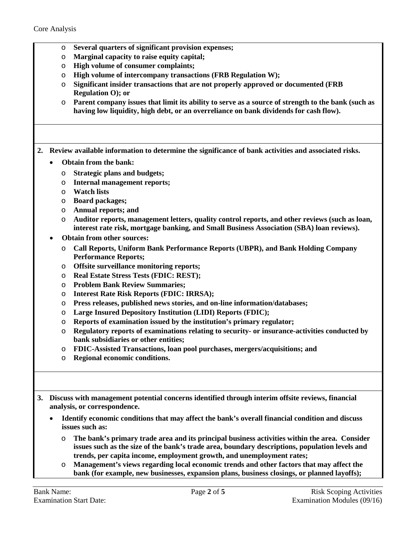- o **Several quarters of significant provision expenses;**
- o **Marginal capacity to raise equity capital;**
- o **High volume of consumer complaints;**
- o **High volume of intercompany transactions (FRB Regulation W);**
- o **Significant insider transactions that are not properly approved or documented (FRB Regulation O); or**
- o **Parent company issues that limit its ability to serve as a source of strength to the bank (such as having low liquidity, high debt, or an overreliance on bank dividends for cash flow).**
- **2. Review available information to determine the significance of bank activities and associated risks.**
	- **Obtain from the bank:**
		- o **Strategic plans and budgets;**
		- o **Internal management reports;**
		- o **Watch lists**
		- o **Board packages;**
		- o **Annual reports; and**
		- o **Auditor reports, management letters, quality control reports, and other reviews (such as loan, interest rate risk, mortgage banking, and Small Business Association (SBA) loan reviews).**
	- **Obtain from other sources:**
		- o **Call Reports, Uniform Bank Performance Reports (UBPR), and Bank Holding Company Performance Reports;**
		- o **Offsite surveillance monitoring reports;**
		- o **Real Estate Stress Tests (FDIC: REST);**
		- o **Problem Bank Review Summaries;**
		- o **Interest Rate Risk Reports (FDIC: IRRSA);**
		- o **Press releases, published news stories, and on-line information/databases;**
		- o **Large Insured Depository Institution (LIDI) Reports (FDIC);**
		- o **Reports of examination issued by the institution's primary regulator;**
		- o **Regulatory reports of examinations relating to security- or insurance-activities conducted by bank subsidiaries or other entities;**
		- o **FDIC-Assisted Transactions, loan pool purchases, mergers/acquisitions; and**
		- o **Regional economic conditions.**
- **3. Discuss with management potential concerns identified through interim offsite reviews, financial analysis, or correspondence.**
	- **Identify economic conditions that may affect the bank's overall financial condition and discuss issues such as:**
		- o **The bank's primary trade area and its principal business activities within the area. Consider issues such as the size of the bank's trade area, boundary descriptions, population levels and trends, per capita income, employment growth, and unemployment rates;**
		- o **Management's views regarding local economic trends and other factors that may affect the bank (for example, new businesses, expansion plans, business closings, or planned layoffs);**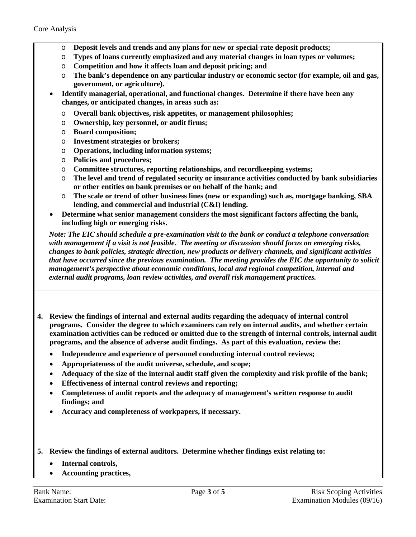- o **Deposit levels and trends and any plans for new or special-rate deposit products;**
- o **Types of loans currently emphasized and any material changes in loan types or volumes;**
- o **Competition and how it affects loan and deposit pricing; and**
- o **The bank's dependence on any particular industry or economic sector (for example, oil and gas, government, or agriculture).**
- **Identify managerial, operational, and functional changes. Determine if there have been any changes, or anticipated changes, in areas such as:**
	- o **Overall bank objectives, risk appetites, or management philosophies;**
	- o **Ownership, key personnel, or audit firms;**
	- o **Board composition;**
	- o **Investment strategies or brokers;**
	- o **Operations, including information systems;**
	- o **Policies and procedures;**
	- o **Committee structures, reporting relationships, and recordkeeping systems;**
	- o **The level and trend of regulated security or insurance activities conducted by bank subsidiaries or other entities on bank premises or on behalf of the bank; and**
	- o **The scale or trend of other business lines (new or expanding) such as, mortgage banking, SBA lending, and commercial and industrial (C&I) lending.**
- **Determine what senior management considers the most significant factors affecting the bank, including high or emerging risks.**

*Note: The EIC should schedule a pre-examination visit to the bank or conduct a telephone conversation with management if a visit is not feasible. The meeting or discussion should focus on emerging risks, changes to bank policies, strategic direction, new products or delivery channels, and significant activities that have occurred since the previous examination. The meeting provides the EIC the opportunity to solicit management's perspective about economic conditions, local and regional competition, internal and external audit programs, loan review activities, and overall risk management practices.*

- **4. Review the findings of internal and external audits regarding the adequacy of internal control programs. Consider the degree to which examiners can rely on internal audits, and whether certain examination activities can be reduced or omitted due to the strength of internal controls, internal audit programs, and the absence of adverse audit findings. As part of this evaluation, review the:**
	- **Independence and experience of personnel conducting internal control reviews;**
	- **Appropriateness of the audit universe, schedule, and scope;**
	- **Adequacy of the size of the internal audit staff given the complexity and risk profile of the bank;**
	- **Effectiveness of internal control reviews and reporting;**
	- **Completeness of audit reports and the adequacy of management's written response to audit findings; and**
	- **Accuracy and completeness of workpapers, if necessary.**
- **5. Review the findings of external auditors. Determine whether findings exist relating to:**
	- **Internal controls,**
	- **Accounting practices,**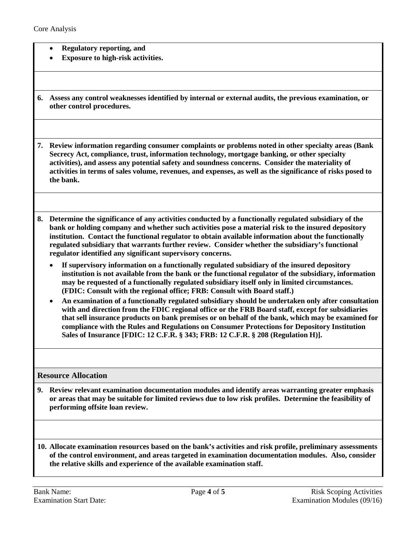- **Regulatory reporting, and**
- **Exposure to high-risk activities.**
- **6. Assess any control weaknesses identified by internal or external audits, the previous examination, or other control procedures.**

**7. Review information regarding consumer complaints or problems noted in other specialty areas (Bank Secrecy Act, compliance, trust, information technology, mortgage banking, or other specialty activities), and assess any potential safety and soundness concerns. Consider the materiality of activities in terms of sales volume, revenues, and expenses, as well as the significance of risks posed to the bank.**

- **8. Determine the significance of any activities conducted by a functionally regulated subsidiary of the bank or holding company and whether such activities pose a material risk to the insured depository institution. Contact the functional regulator to obtain available information about the functionally regulated subsidiary that warrants further review. Consider whether the subsidiary's functional regulator identified any significant supervisory concerns.** 
	- **If supervisory information on a functionally regulated subsidiary of the insured depository institution is not available from the bank or the functional regulator of the subsidiary, information may be requested of a functionally regulated subsidiary itself only in limited circumstances. (FDIC: Consult with the regional office; FRB: Consult with Board staff.)**
	- **An examination of a functionally regulated subsidiary should be undertaken only after consultation with and direction from the FDIC regional office or the FRB Board staff, except for subsidiaries that sell insurance products on bank premises or on behalf of the bank, which may be examined for compliance with the Rules and Regulations on Consumer Protections for Depository Institution Sales of Insurance [FDIC: 12 C.F.R. § 343; FRB: 12 C.F.R. § 208 (Regulation H)].**

**Resource Allocation**

**9. Review relevant examination documentation modules and identify areas warranting greater emphasis or areas that may be suitable for limited reviews due to low risk profiles. Determine the feasibility of performing offsite loan review.**

**10. Allocate examination resources based on the bank's activities and risk profile, preliminary assessments of the control environment, and areas targeted in examination documentation modules. Also, consider the relative skills and experience of the available examination staff.**